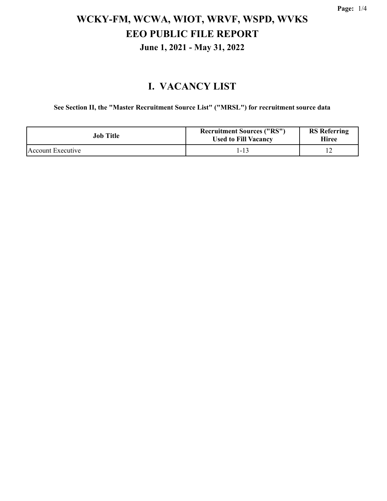#### **I. VACANCY LIST**

**See Section II, the "Master Recruitment Source List" ("MRSL") for recruitment source data**

| <b>Job Title</b>  | <b>Recruitment Sources ("RS")</b><br><b>Used to Fill Vacancy</b> | <b>RS</b> Referring<br><b>Hiree</b> |
|-------------------|------------------------------------------------------------------|-------------------------------------|
| Account Executive | 1-13                                                             |                                     |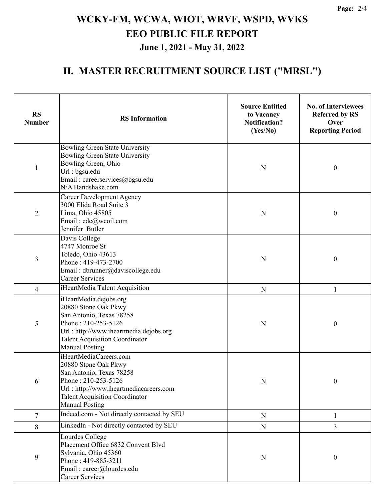#### **II. MASTER RECRUITMENT SOURCE LIST ("MRSL")**

| <b>RS</b><br><b>Number</b> | <b>RS</b> Information                                                                                                                                                                                         | <b>Source Entitled</b><br>to Vacancy<br><b>Notification?</b><br>(Yes/No) | <b>No. of Interviewees</b><br><b>Referred by RS</b><br>Over<br><b>Reporting Period</b> |
|----------------------------|---------------------------------------------------------------------------------------------------------------------------------------------------------------------------------------------------------------|--------------------------------------------------------------------------|----------------------------------------------------------------------------------------|
| $\mathbf{1}$               | Bowling Green State University<br>Bowling Green State University<br>Bowling Green, Ohio<br>Url: bgsu.edu<br>Email: careerservices@bgsu.edu<br>N/A Handshake.com                                               | N                                                                        | $\boldsymbol{0}$                                                                       |
| $\overline{2}$             | <b>Career Development Agency</b><br>3000 Elida Road Suite 3<br>Lima, Ohio 45805<br>Email: cdc@wcoil.com<br>Jennifer Butler                                                                                    | N                                                                        | $\boldsymbol{0}$                                                                       |
| 3                          | Davis College<br>4747 Monroe St<br>Toledo, Ohio 43613<br>Phone: 419-473-2700<br>Email: dbrunner@daviscollege.edu<br><b>Career Services</b>                                                                    | N                                                                        | $\boldsymbol{0}$                                                                       |
| 4                          | iHeartMedia Talent Acquisition                                                                                                                                                                                | ${\bf N}$                                                                | 1                                                                                      |
| 5                          | iHeartMedia.dejobs.org<br>20880 Stone Oak Pkwy<br>San Antonio, Texas 78258<br>Phone: 210-253-5126<br>Url: http://www.iheartmedia.dejobs.org<br><b>Talent Acquisition Coordinator</b><br><b>Manual Posting</b> | N                                                                        | $\boldsymbol{0}$                                                                       |
| 6                          | iHeartMediaCareers.com<br>20880 Stone Oak Pkwy<br>San Antonio, Texas 78258<br>Phone: 210-253-5126<br>Url: http://www.iheartmediacareers.com<br><b>Talent Acquisition Coordinator</b><br><b>Manual Posting</b> | $\mathbf N$                                                              | 0                                                                                      |
| $\overline{7}$             | Indeed.com - Not directly contacted by SEU                                                                                                                                                                    | ${\bf N}$                                                                | $\mathbf{1}$                                                                           |
| 8                          | LinkedIn - Not directly contacted by SEU                                                                                                                                                                      | ${\bf N}$                                                                | $\overline{3}$                                                                         |
| 9                          | Lourdes College<br>Placement Office 6832 Convent Blvd<br>Sylvania, Ohio 45360<br>Phone: 419-885-3211<br>Email: career@lourdes.edu<br><b>Career Services</b>                                                   | $\mathbf N$                                                              | $\boldsymbol{0}$                                                                       |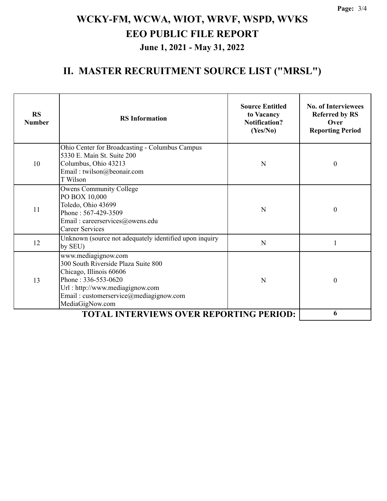#### **II. MASTER RECRUITMENT SOURCE LIST ("MRSL")**

| <b>RS</b><br><b>Number</b> | <b>RS</b> Information                                                                                                                                                                                        | <b>Source Entitled</b><br>to Vacancy<br><b>Notification?</b><br>(Yes/No) | <b>No. of Interviewees</b><br><b>Referred by RS</b><br>Over<br><b>Reporting Period</b> |
|----------------------------|--------------------------------------------------------------------------------------------------------------------------------------------------------------------------------------------------------------|--------------------------------------------------------------------------|----------------------------------------------------------------------------------------|
| 10                         | Ohio Center for Broadcasting - Columbus Campus<br>5330 E. Main St. Suite 200<br>Columbus, Ohio 43213<br>Email: twilson@beonair.com<br>T Wilson                                                               | N                                                                        | $\boldsymbol{0}$                                                                       |
| 11                         | <b>Owens Community College</b><br>PO BOX 10,000<br>Toledo, Ohio 43699<br>Phone: 567-429-3509<br>Email: careerservices@owens.edu<br><b>Career Services</b>                                                    | N                                                                        | $\boldsymbol{0}$                                                                       |
| 12                         | Unknown (source not adequately identified upon inquiry<br>by SEU)                                                                                                                                            | N                                                                        | 1                                                                                      |
| 13                         | www.mediagignow.com<br>300 South Riverside Plaza Suite 800<br>Chicago, Illinois 60606<br>Phone: 336-553-0620<br>Url: http://www.mediagignow.com<br>Email: customerservice@mediagignow.com<br>MediaGigNow.com | N                                                                        | $\boldsymbol{0}$                                                                       |
|                            | 6                                                                                                                                                                                                            |                                                                          |                                                                                        |